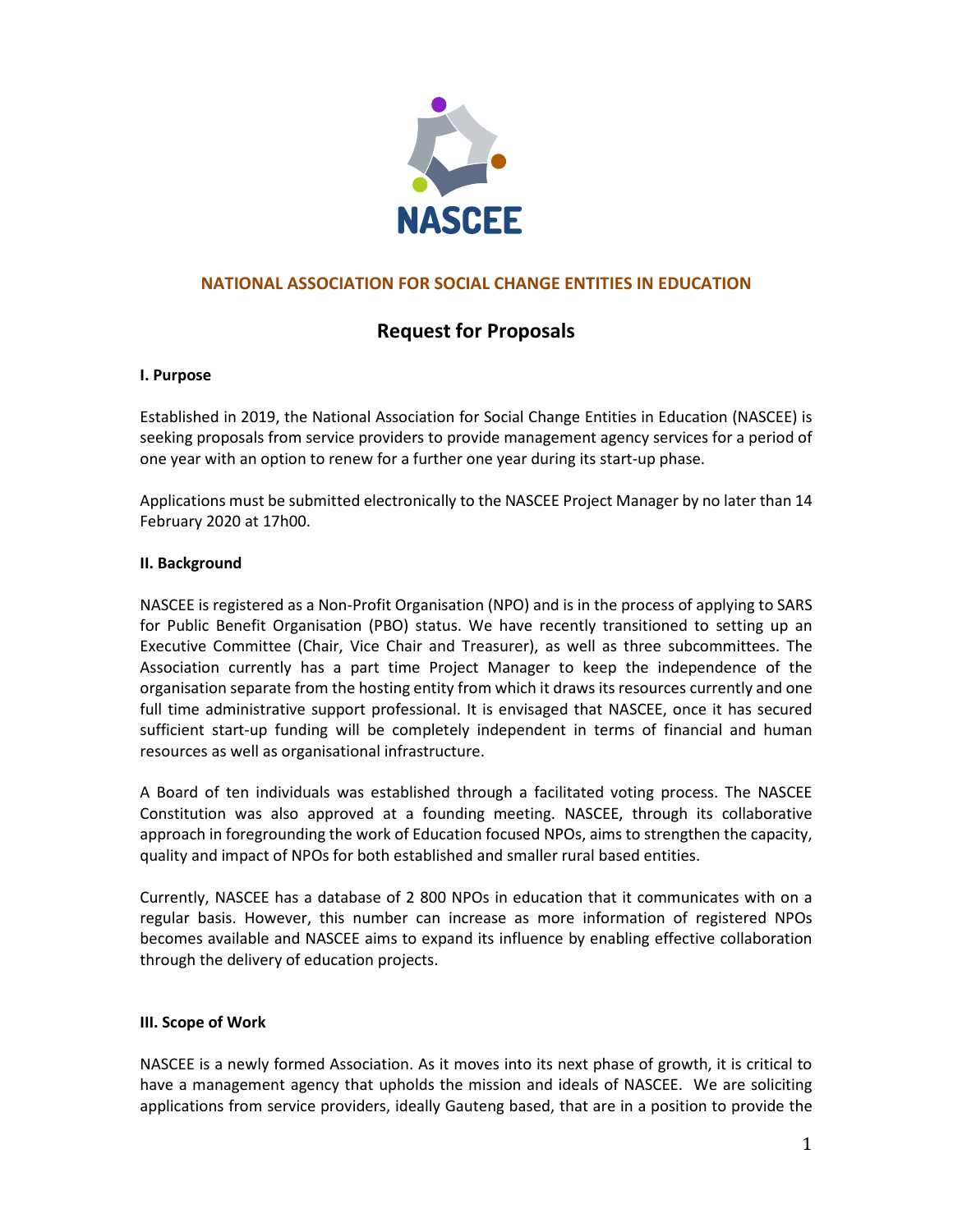

# **NATIONAL ASSOCIATION FOR SOCIAL CHANGE ENTITIES IN EDUCATION**

# **Request for Proposals**

#### **I. Purpose**

Established in 2019, the National Association for Social Change Entities in Education (NASCEE) is seeking proposals from service providers to provide management agency services for a period of one year with an option to renew for a further one year during its start-up phase.

Applications must be submitted electronically to the NASCEE Project Manager by no later than 14 February 2020 at 17h00.

## **II. Background**

NASCEE is registered as a Non-Profit Organisation (NPO) and is in the process of applying to SARS for Public Benefit Organisation (PBO) status. We have recently transitioned to setting up an Executive Committee (Chair, Vice Chair and Treasurer), as well as three subcommittees. The Association currently has a part time Project Manager to keep the independence of the organisation separate from the hosting entity from which it draws its resources currently and one full time administrative support professional. It is envisaged that NASCEE, once it has secured sufficient start-up funding will be completely independent in terms of financial and human resources as well as organisational infrastructure.

A Board of ten individuals was established through a facilitated voting process. The NASCEE Constitution was also approved at a founding meeting. NASCEE, through its collaborative approach in foregrounding the work of Education focused NPOs, aims to strengthen the capacity, quality and impact of NPOs for both established and smaller rural based entities.

Currently, NASCEE has a database of 2 800 NPOs in education that it communicates with on a regular basis. However, this number can increase as more information of registered NPOs becomes available and NASCEE aims to expand its influence by enabling effective collaboration through the delivery of education projects.

## **III. Scope of Work**

NASCEE is a newly formed Association. As it moves into its next phase of growth, it is critical to have a management agency that upholds the mission and ideals of NASCEE. We are soliciting applications from service providers, ideally Gauteng based, that are in a position to provide the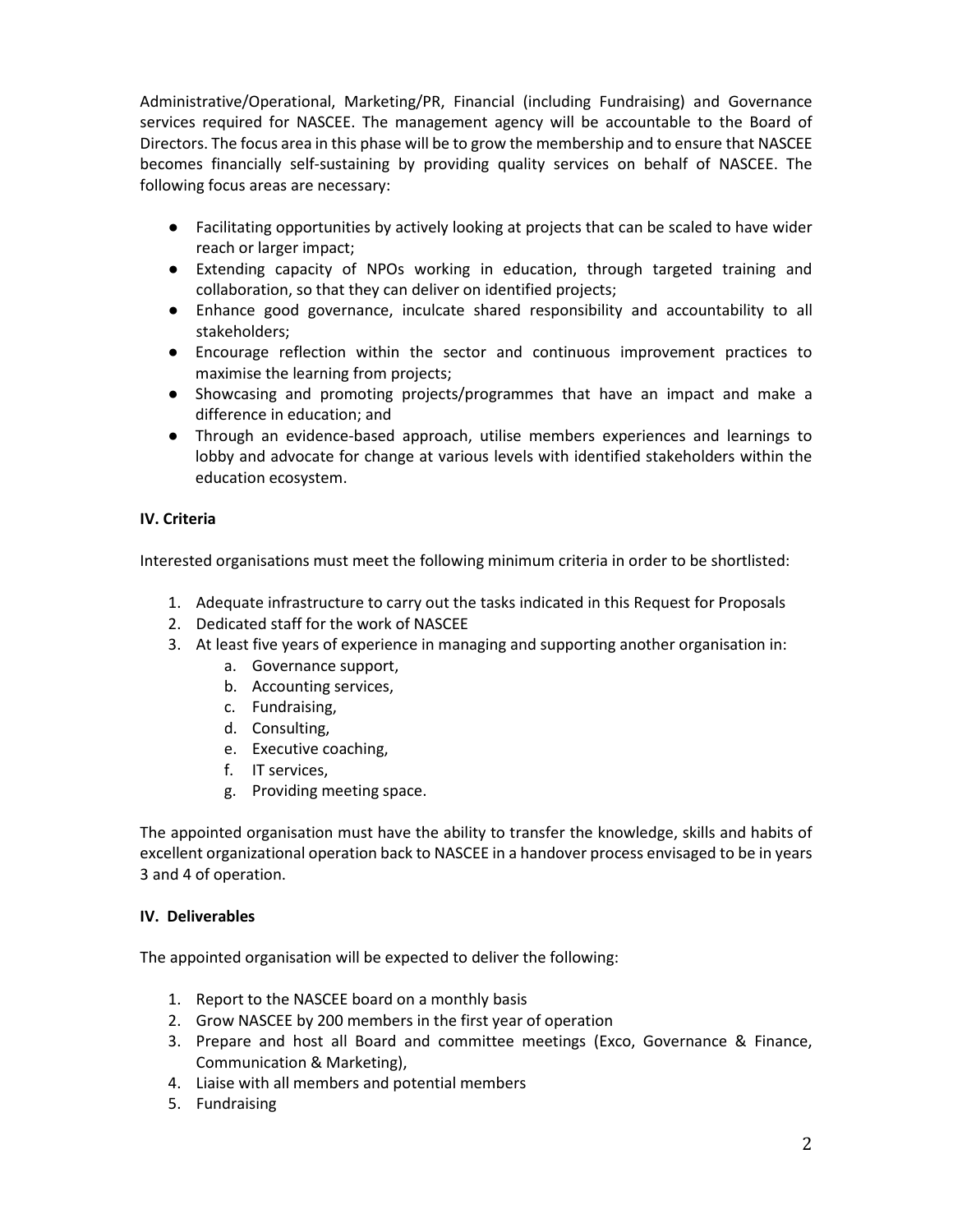Administrative/Operational, Marketing/PR, Financial (including Fundraising) and Governance services required for NASCEE. The management agency will be accountable to the Board of Directors. The focus area in this phase will be to grow the membership and to ensure that NASCEE becomes financially self-sustaining by providing quality services on behalf of NASCEE. The following focus areas are necessary:

- Facilitating opportunities by actively looking at projects that can be scaled to have wider reach or larger impact;
- Extending capacity of NPOs working in education, through targeted training and collaboration, so that they can deliver on identified projects;
- Enhance good governance, inculcate shared responsibility and accountability to all stakeholders;
- Encourage reflection within the sector and continuous improvement practices to maximise the learning from projects;
- Showcasing and promoting projects/programmes that have an impact and make a difference in education; and
- Through an evidence-based approach, utilise members experiences and learnings to lobby and advocate for change at various levels with identified stakeholders within the education ecosystem.

## **IV. Criteria**

Interested organisations must meet the following minimum criteria in order to be shortlisted:

- 1. Adequate infrastructure to carry out the tasks indicated in this Request for Proposals
- 2. Dedicated staff for the work of NASCEE
- 3. At least five years of experience in managing and supporting another organisation in:
	- a. Governance support,
	- b. Accounting services,
	- c. Fundraising,
	- d. Consulting,
	- e. Executive coaching,
	- f. IT services,
	- g. Providing meeting space.

The appointed organisation must have the ability to transfer the knowledge, skills and habits of excellent organizational operation back to NASCEE in a handover process envisaged to be in years 3 and 4 of operation.

## **IV. Deliverables**

The appointed organisation will be expected to deliver the following:

- 1. Report to the NASCEE board on a monthly basis
- 2. Grow NASCEE by 200 members in the first year of operation
- 3. Prepare and host all Board and committee meetings (Exco, Governance & Finance, Communication & Marketing),
- 4. Liaise with all members and potential members
- 5. Fundraising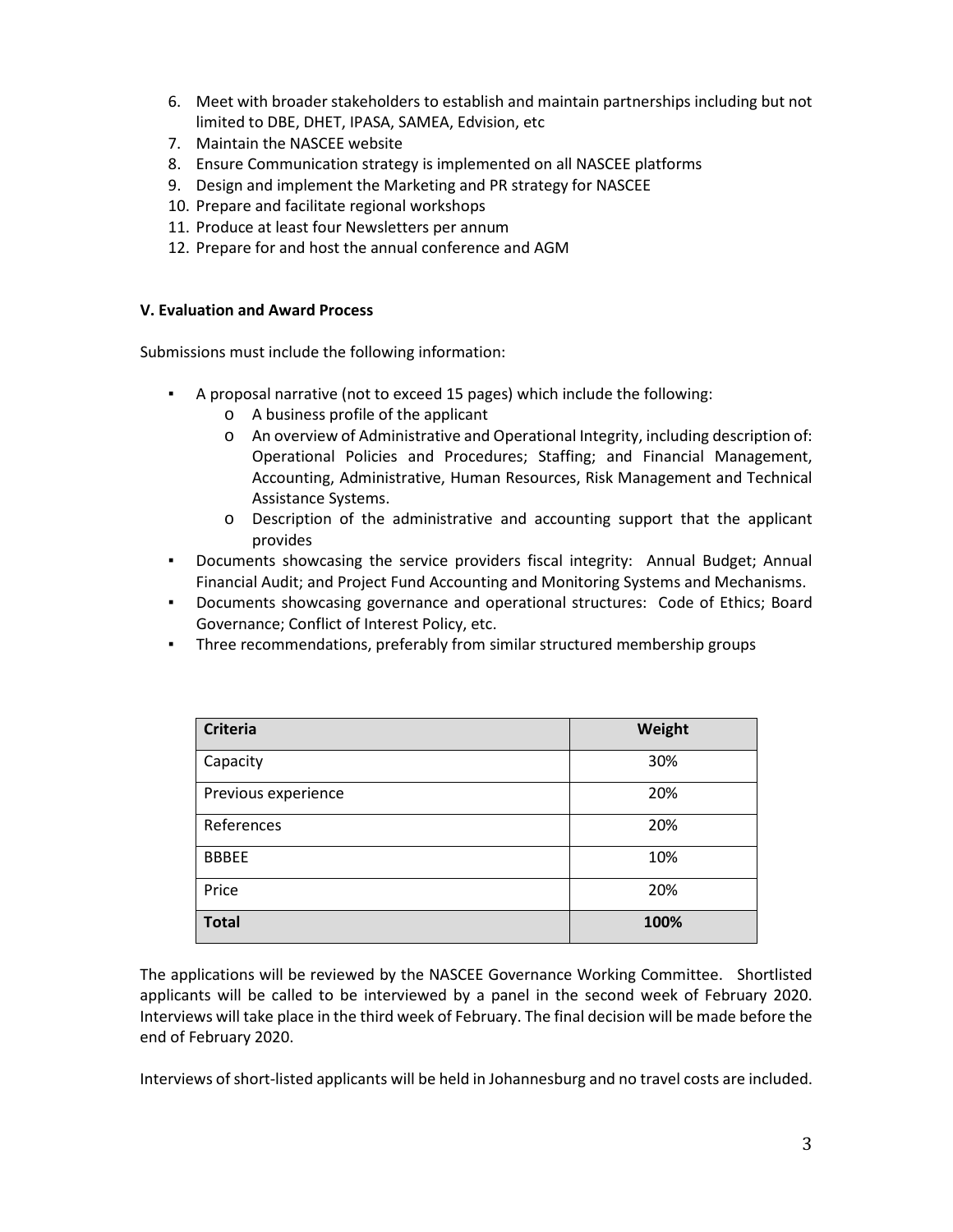- 6. Meet with broader stakeholders to establish and maintain partnerships including but not limited to DBE, DHET, IPASA, SAMEA, Edvision, etc
- 7. Maintain the NASCEE website
- 8. Ensure Communication strategy is implemented on all NASCEE platforms
- 9. Design and implement the Marketing and PR strategy for NASCEE
- 10. Prepare and facilitate regional workshops
- 11. Produce at least four Newsletters per annum
- 12. Prepare for and host the annual conference and AGM

#### **V. Evaluation and Award Process**

Submissions must include the following information:

- A proposal narrative (not to exceed 15 pages) which include the following:
	- o A business profile of the applicant
	- o An overview of Administrative and Operational Integrity, including description of: Operational Policies and Procedures; Staffing; and Financial Management, Accounting, Administrative, Human Resources, Risk Management and Technical Assistance Systems.
	- o Description of the administrative and accounting support that the applicant provides
- Documents showcasing the service providers fiscal integrity: Annual Budget; Annual Financial Audit; and Project Fund Accounting and Monitoring Systems and Mechanisms.
- Documents showcasing governance and operational structures: Code of Ethics; Board Governance; Conflict of Interest Policy, etc.
- Three recommendations, preferably from similar structured membership groups

| <b>Criteria</b>     | Weight |
|---------------------|--------|
| Capacity            | 30%    |
| Previous experience | 20%    |
| References          | 20%    |
| <b>BBBEE</b>        | 10%    |
| Price               | 20%    |
| <b>Total</b>        | 100%   |

The applications will be reviewed by the NASCEE Governance Working Committee. Shortlisted applicants will be called to be interviewed by a panel in the second week of February 2020. Interviews will take place in the third week of February. The final decision will be made before the end of February 2020.

Interviews of short-listed applicants will be held in Johannesburg and no travel costs are included.